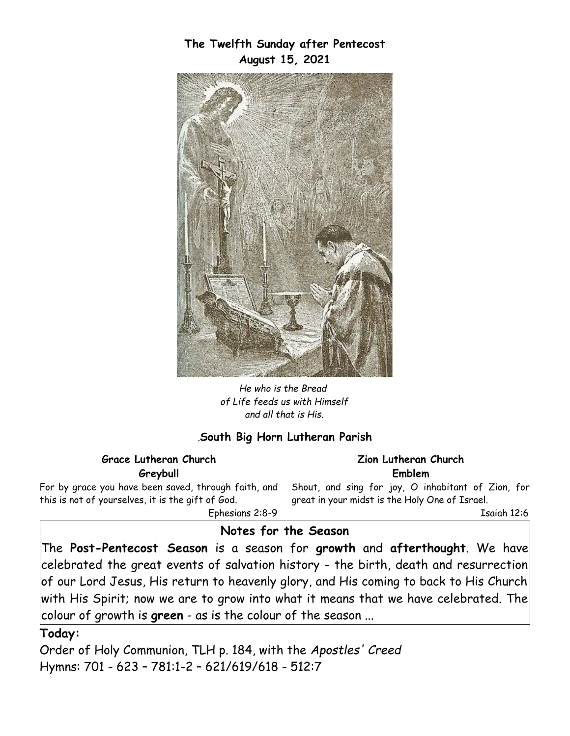

**The Twelfth Sunday after Pentecost August 15, 2021**

*He who is the Bread of Life feeds us with Himself and all that is His.*

### *.***South Big Horn Lutheran Parish**

#### **Grace Lutheran Church Greybull**

For by grace you have been saved, through faith, and this is not of yourselves, it is the gift of God. Ephesians 2:8-9

**Zion Lutheran Church Emblem**

Shout, and sing for joy, O inhabitant of Zion, for great in your midst is the Holy One of Israel.

Isaiah 12:6

### **Notes for the Season**

The **Post-Pentecost Season** is a season for **growth** and **afterthought**. We have celebrated the great events of salvation history - the birth, death and resurrection of our Lord Jesus, His return to heavenly glory, and His coming to back to His Church with His Spirit; now we are to grow into what it means that we have celebrated. The colour of growth is **green** - as is the colour of the season ...

#### **Today:**

Order of Holy Communion, TLH p. 184, with the *Apostles' Creed*  Hymns: 701 - 623 – 781:1-2 – 621/619/618 - 512:7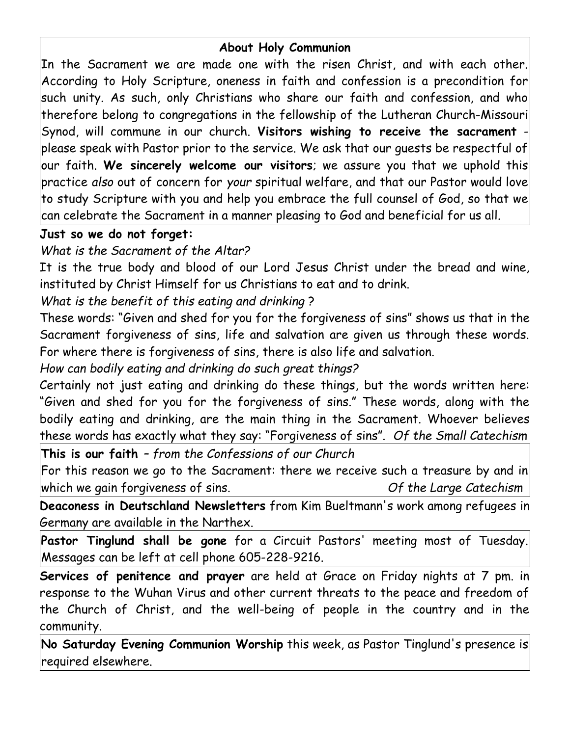# **About Holy Communion**

In the Sacrament we are made one with the risen Christ, and with each other. According to Holy Scripture, oneness in faith and confession is a precondition for such unity. As such, only Christians who share our faith and confession, and who therefore belong to congregations in the fellowship of the Lutheran Church-Missouri Synod, will commune in our church. **Visitors wishing to receive the sacrament** please speak with Pastor prior to the service. We ask that our guests be respectful of our faith. **We sincerely welcome our visitors**; we assure you that we uphold this practice *also* out of concern for *your* spiritual welfare, and that our Pastor would love to study Scripture with you and help you embrace the full counsel of God, so that we can celebrate the Sacrament in a manner pleasing to God and beneficial for us all.

# **Just so we do not forget:**

# *What is the Sacrament of the Altar?*

It is the true body and blood of our Lord Jesus Christ under the bread and wine, instituted by Christ Himself for us Christians to eat and to drink.

# *What is the benefit of this eating and drinking* ?

These words: "Given and shed for you for the forgiveness of sins" shows us that in the Sacrament forgiveness of sins, life and salvation are given us through these words. For where there is forgiveness of sins, there is also life and salvation.

*How can bodily eating and drinking do such great things?*

Certainly not just eating and drinking do these things, but the words written here: "Given and shed for you for the forgiveness of sins." These words, along with the bodily eating and drinking, are the main thing in the Sacrament. Whoever believes these words has exactly what they say: "Forgiveness of sins". *Of the Small Catechism*

**This is our faith** *– from the Confessions of our Church*

For this reason we go to the Sacrament: there we receive such a treasure by and in which we gain forgiveness of sins. *Of the Large Catechism*

**Deaconess in Deutschland Newsletters** from Kim Bueltmann's work among refugees in Germany are available in the Narthex.

**Pastor Tinglund shall be gone** for a Circuit Pastors' meeting most of Tuesday. Messages can be left at cell phone 605-228-9216.

**Services of penitence and prayer** are held at Grace on Friday nights at 7 pm. in response to the Wuhan Virus and other current threats to the peace and freedom of the Church of Christ, and the well-being of people in the country and in the community.

**No Saturday Evening Communion Worship** this week, as Pastor Tinglund's presence is required elsewhere.